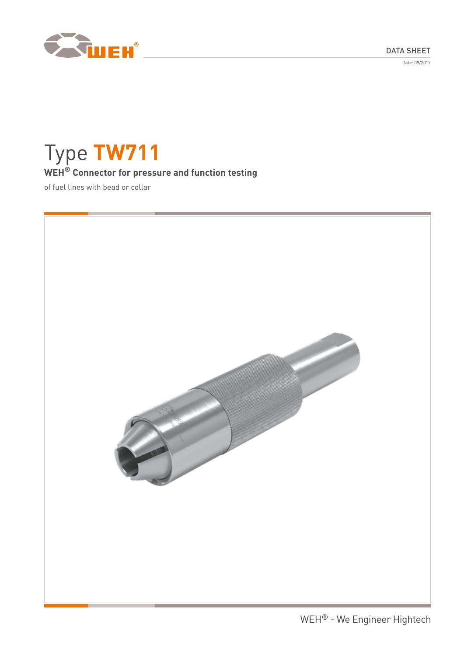DATA SHEET

Date: 09/2019



# Type **TW711 WEH® Connector for pressure and function testing**

of fuel lines with bead or collar

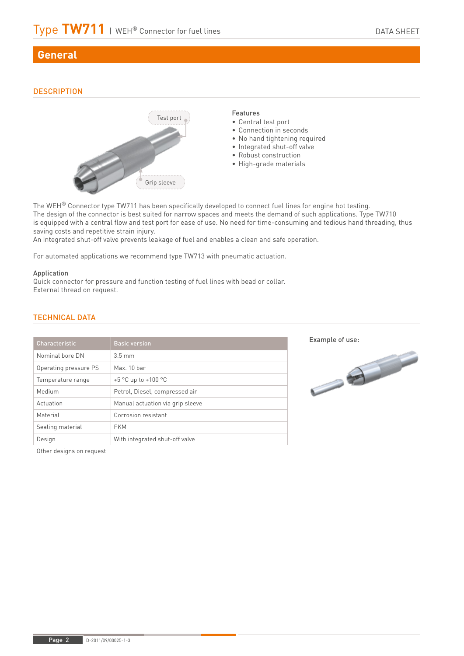# **General**

# **DESCRIPTION**



The WEH® Connector type TW711 has been specifically developed to connect fuel lines for engine hot testing. The design of the connector is best suited for narrow spaces and meets the demand of such applications. Type TW710 is equipped with a central flow and test port for ease of use. No need for time-consuming and tedious hand threading, thus saving costs and repetitive strain injury.

An integrated shut-off valve prevents leakage of fuel and enables a clean and safe operation.

For automated applications we recommend type TW713 with pneumatic actuation.

### Application

Quick connector for pressure and function testing of fuel lines with bead or collar. External thread on request.

| Characteristic        | <b>Basic version</b>             |
|-----------------------|----------------------------------|
| Nominal bore DN       | $3.5 \text{ mm}$                 |
| Operating pressure PS | Max 10 har                       |
| Temperature range     | $+5$ °C up to $+100$ °C          |
| Medium                | Petrol, Diesel, compressed air   |
| Actuation             | Manual actuation via grip sleeve |
| Material              | Corrosion resistant              |
| Sealing material      | <b>FKM</b>                       |
| Design                | With integrated shut-off valve   |

# TECHNICAL DATA

Other designs on request



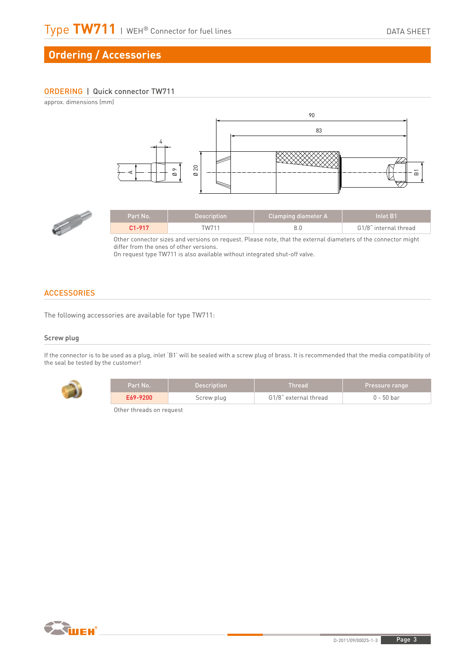# **Ordering / Accessories**

# ORDERING | Quick connector TW711

approx. dimensions (mm) Part No. **Description** Clamping diame<br>
C1-917 TW711 8.0<br>
Other connector sizes and versions on request. Please note, that the external differ from the ones of other versions.<br>
On request type TW711 is also available witho 90 83  $\overline{a}$  A Ø 9 4



| <b>Part No.</b> | 'Description | Clamping diameter A | Inlet R1              |
|-----------------|--------------|---------------------|-----------------------|
| $C1 - 917$      | W711         |                     | G1/8" internal thread |

Other connector sizes and versions on request. Please note, that the external diameters of the connector might differ from the ones of other versions.<br>On request type TW711 is also available without integrated shut-off valve.

# **ACCESSORIES**

The following accessories are available for type TW711:

## Screw plug

If the connector is to be used as a plug, inlet 'B1' will be sealed with a screw plug of brass. It is recommended that the media compatibility of the seal be tested by the customer!



| Part No. 1 | <b>Description</b> | Thread                | <b>Pressure range</b> |
|------------|--------------------|-----------------------|-----------------------|
| E69-9200   | Screw plug         | G1/8" external thread | 0 - 50 bar            |

Other threads on request